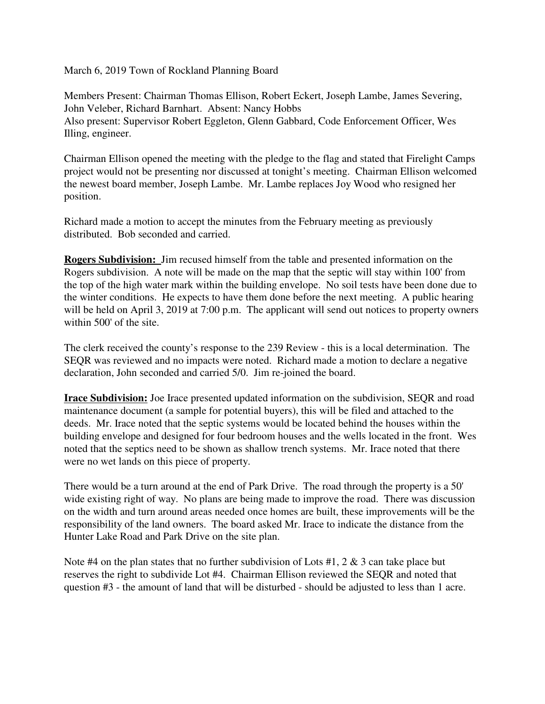March 6, 2019 Town of Rockland Planning Board

Members Present: Chairman Thomas Ellison, Robert Eckert, Joseph Lambe, James Severing, John Veleber, Richard Barnhart. Absent: Nancy Hobbs Also present: Supervisor Robert Eggleton, Glenn Gabbard, Code Enforcement Officer, Wes Illing, engineer.

Chairman Ellison opened the meeting with the pledge to the flag and stated that Firelight Camps project would not be presenting nor discussed at tonight's meeting. Chairman Ellison welcomed the newest board member, Joseph Lambe. Mr. Lambe replaces Joy Wood who resigned her position.

Richard made a motion to accept the minutes from the February meeting as previously distributed. Bob seconded and carried.

**Rogers Subdivision:** Jim recused himself from the table and presented information on the Rogers subdivision. A note will be made on the map that the septic will stay within 100' from the top of the high water mark within the building envelope. No soil tests have been done due to the winter conditions. He expects to have them done before the next meeting. A public hearing will be held on April 3, 2019 at 7:00 p.m. The applicant will send out notices to property owners within 500' of the site.

The clerk received the county's response to the 239 Review - this is a local determination. The SEQR was reviewed and no impacts were noted. Richard made a motion to declare a negative declaration, John seconded and carried 5/0. Jim re-joined the board.

**Irace Subdivision:** Joe Irace presented updated information on the subdivision, SEQR and road maintenance document (a sample for potential buyers), this will be filed and attached to the deeds. Mr. Irace noted that the septic systems would be located behind the houses within the building envelope and designed for four bedroom houses and the wells located in the front. Wes noted that the septics need to be shown as shallow trench systems. Mr. Irace noted that there were no wet lands on this piece of property.

There would be a turn around at the end of Park Drive. The road through the property is a 50' wide existing right of way. No plans are being made to improve the road. There was discussion on the width and turn around areas needed once homes are built, these improvements will be the responsibility of the land owners. The board asked Mr. Irace to indicate the distance from the Hunter Lake Road and Park Drive on the site plan.

Note #4 on the plan states that no further subdivision of Lots #1, 2  $\&$  3 can take place but reserves the right to subdivide Lot #4. Chairman Ellison reviewed the SEQR and noted that question #3 - the amount of land that will be disturbed - should be adjusted to less than 1 acre.